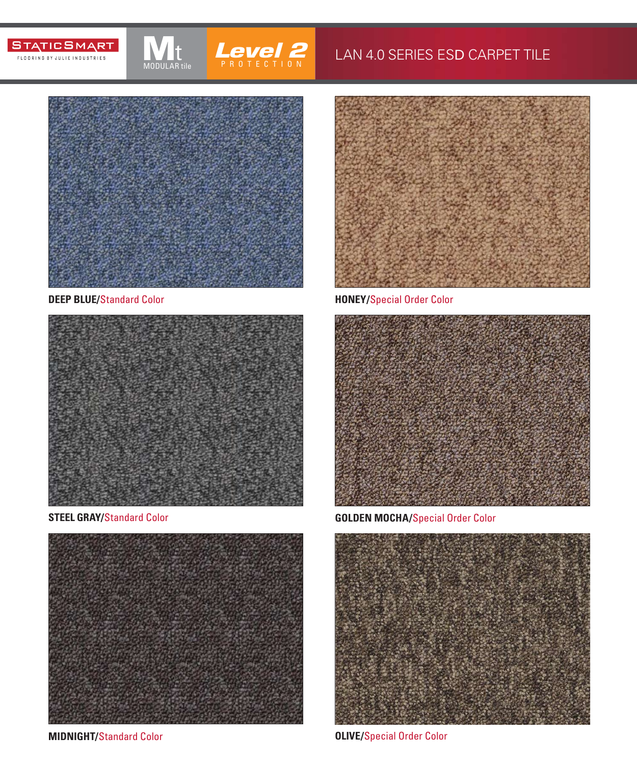## **STATICSMART** FLOORING BY JULIE INDUSTRIES



## LAN 4.0 SERIES ESD CARPET TILE



MODULAR tile

## **DEEP BLUE/**Standard Color





**MIDNIGHT/**Standard Color **Color OLIVE/**Special Order Color



**HONEY/**Special Order Color



**STEEL GRAY/**Standard Color **GOLDEN MOCHA/**Special Order Color